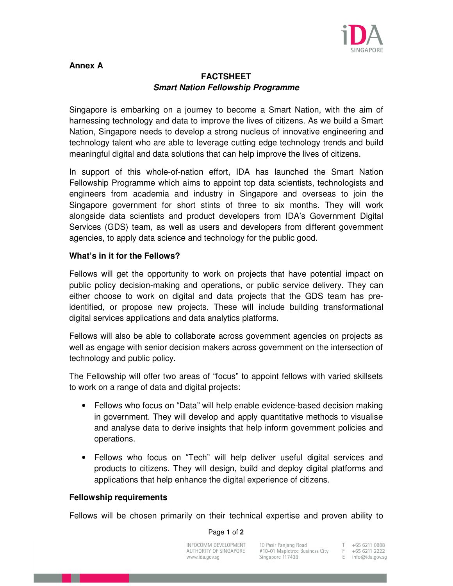

# **Annex A**

# **FACTSHEET Smart Nation Fellowship Programme**

Singapore is embarking on a journey to become a Smart Nation, with the aim of harnessing technology and data to improve the lives of citizens. As we build a Smart Nation, Singapore needs to develop a strong nucleus of innovative engineering and technology talent who are able to leverage cutting edge technology trends and build meaningful digital and data solutions that can help improve the lives of citizens.

In support of this whole-of-nation effort, IDA has launched the Smart Nation Fellowship Programme which aims to appoint top data scientists, technologists and engineers from academia and industry in Singapore and overseas to join the Singapore government for short stints of three to six months. They will work alongside data scientists and product developers from IDA's Government Digital Services (GDS) team, as well as users and developers from different government agencies, to apply data science and technology for the public good.

# **What's in it for the Fellows?**

Fellows will get the opportunity to work on projects that have potential impact on public policy decision-making and operations, or public service delivery. They can either choose to work on digital and data projects that the GDS team has preidentified, or propose new projects. These will include building transformational digital services applications and data analytics platforms.

Fellows will also be able to collaborate across government agencies on projects as well as engage with senior decision makers across government on the intersection of technology and public policy.

The Fellowship will offer two areas of "focus" to appoint fellows with varied skillsets to work on a range of data and digital projects:

- Fellows who focus on "Data" will help enable evidence-based decision making in government. They will develop and apply quantitative methods to visualise and analyse data to derive insights that help inform government policies and operations.
- Fellows who focus on "Tech" will help deliver useful digital services and products to citizens. They will design, build and deploy digital platforms and applications that help enhance the digital experience of citizens.

## **Fellowship requirements**

Fellows will be chosen primarily on their technical expertise and proven ability to

### Page **1** of **2**

| INFOCOMM DEVELOPMENT   | 10 Pasir Panjang Road          | +65 6211 0888       |
|------------------------|--------------------------------|---------------------|
| AUTHORITY OF SINGAPORE | #10-01 Mapletree Business City | +65 6211 2222       |
| www.ida.gov.sg         | Singapore 117438               | E $info@ida.gov.sq$ |